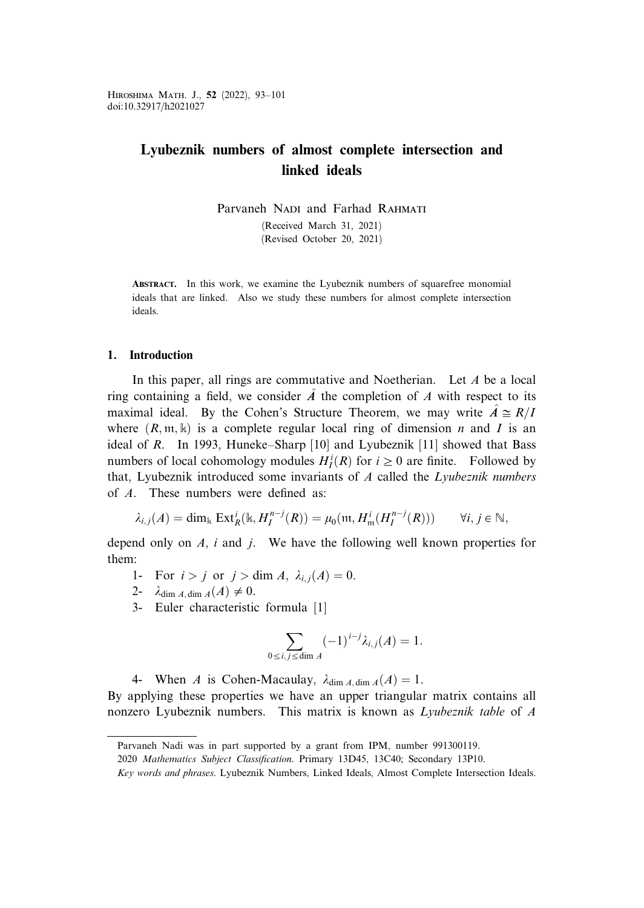Hiroshima Math. J., 52 (2022), 93–101 doi:10.32917/h2021027

# Lyubeznik numbers of almost complete intersection and linked ideals

Parvaneh NADI and Farhad RAHMATI (Received March 31, 2021) (Revised October 20, 2021)

Abstract. In this work, we examine the Lyubeznik numbers of squarefree monomial ideals that are linked. Also we study these numbers for almost complete intersection ideals.

## 1. Introduction

In this paper, all rings are commutative and Noetherian. Let  $A$  be a local ring containing a field, we consider  $\hat{A}$  the completion of A with respect to its maximal ideal. By the Cohen's Structure Theorem, we may write  $\hat{A} \cong R/I$ where  $(R, \mathfrak{m}, \mathbb{k})$  is a complete regular local ring of dimension n and I is an ideal of R. In 1993, Huneke–Sharp [10] and Lyubeznik [11] showed that Bass numbers of local cohomology modules  $H_I^i(R)$  for  $i \ge 0$  are finite. Followed by that, Lyubeznik introduced some invariants of  $A$  called the Lyubeznik numbers of A. These numbers were defined as:

$$
\lambda_{i,j}(A) = \dim_{\mathbb{k}} \operatorname{Ext}^i_R(\mathbb{k}, H_I^{n-j}(R)) = \mu_0(\mathfrak{m}, H^i_{\mathfrak{m}}(H_I^{n-j}(R))) \qquad \forall i, j \in \mathbb{N},
$$

depend only on  $A$ , i and j. We have the following well known properties for them:

- 1- For  $i > j$  or  $j > \dim A$ ,  $\lambda_{i,j}(A) = 0$ .
- 2-  $\lambda_{\dim A, \dim A}(A) \neq 0.$
- 3- Euler characteristic formula [1]

$$
\sum_{0 \le i,j \le \dim A} (-1)^{i-j} \lambda_{i,j}(A) = 1.
$$

4- When A is Cohen-Macaulay,  $\lambda_{\text{dim } A \text{ dim } A}(A) = 1$ .

By applying these properties we have an upper triangular matrix contains all nonzero Lyubeznik numbers. This matrix is known as Lyubeznik table of A

Parvaneh Nadi was in part supported by a grant from IPM, number 991300119.

<sup>2020</sup> Mathematics Subject Classification. Primary 13D45, 13C40; Secondary 13P10.

Key words and phrases. Lyubeznik Numbers, Linked Ideals, Almost Complete Intersection Ideals.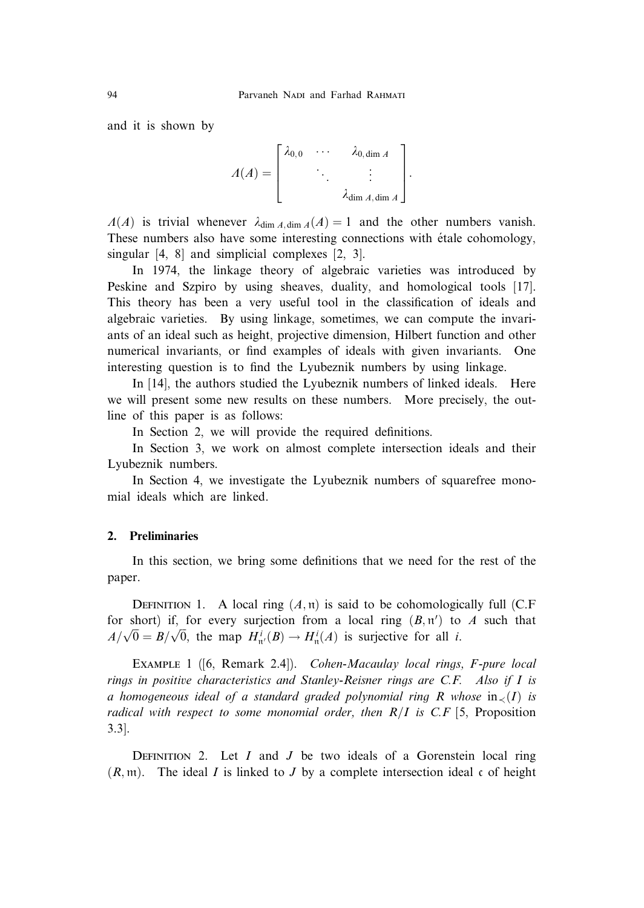and it is shown by

$$
\Lambda(A) = \begin{bmatrix} \lambda_{0,0} & \cdots & \lambda_{0,\dim A} \\ & \ddots & \vdots \\ & & \lambda_{\dim A,\dim A} \end{bmatrix}.
$$

 $\Lambda(A)$  is trivial whenever  $\lambda_{\text{dim }A,\text{dim }A}(A)=1$  and the other numbers vanish. These numbers also have some interesting connections with étale cohomology, singular [4, 8] and simplicial complexes [2, 3].

In 1974, the linkage theory of algebraic varieties was introduced by Peskine and Szpiro by using sheaves, duality, and homological tools [17]. This theory has been a very useful tool in the classification of ideals and algebraic varieties. By using linkage, sometimes, we can compute the invariants of an ideal such as height, projective dimension, Hilbert function and other numerical invariants, or find examples of ideals with given invariants. One interesting question is to find the Lyubeznik numbers by using linkage.

In [14], the authors studied the Lyubeznik numbers of linked ideals. Here we will present some new results on these numbers. More precisely, the outline of this paper is as follows:

In Section 2, we will provide the required definitions.

In Section 3, we work on almost complete intersection ideals and their Lyubeznik numbers.

In Section 4, we investigate the Lyubeznik numbers of squarefree monomial ideals which are linked.

## 2. Preliminaries

In this section, we bring some definitions that we need for the rest of the paper.

DEFINITION 1. A local ring  $(A, \mathfrak{n})$  is said to be cohomologically full (C.F for short) if, for every surjection from a local ring  $(B, \pi')$  to A such that  $A/\sqrt{0} = B/\sqrt{0}$ , the map  $H_{\pi'}^i(B) \to H_{\pi}^i(A)$  is surjective for all *i*.

EXAMPLE 1 ([6, Remark 2.4]). Cohen-Macaulay local rings, F-pure local rings in positive characteristics and Stanley-Reisner rings are C.F. Also if I is a homogeneous ideal of a standard graded polynomial ring R whose  $in_{\leq}(I)$  is radical with respect to some monomial order, then  $R/I$  is C.F [5, Proposition 3.3].

DEFINITION 2. Let  $I$  and  $J$  be two ideals of a Gorenstein local ring  $(R, \mathfrak{m})$ . The ideal I is linked to J by a complete intersection ideal c of height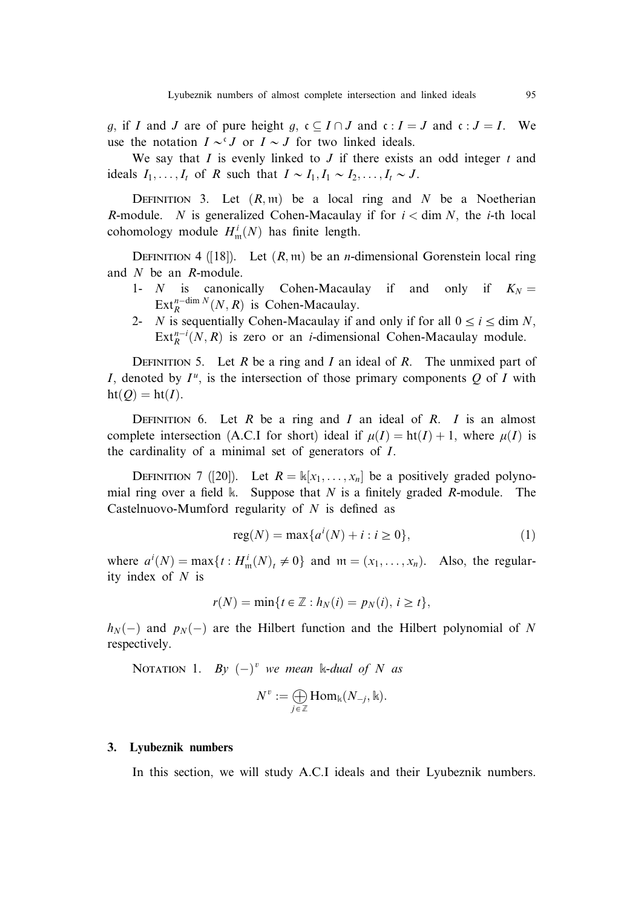q, if I and J are of pure height q,  $c \subseteq I \cap J$  and  $c : I = J$  and  $c : J = I$ . We use the notation  $I \sim^{c} J$  or  $I \sim J$  for two linked ideals.

We say that  $I$  is evenly linked to  $J$  if there exists an odd integer  $t$  and ideals  $I_1, \ldots, I_t$  of R such that  $I \sim I_1, I_1 \sim I_2, \ldots, I_t \sim J$ .

DEFINITION 3. Let  $(R, m)$  be a local ring and N be a Noetherian R-module. N is generalized Cohen-Macaulay if for  $i <$  dim N, the *i*-th local cohomology module  $H^i_{\mathfrak{m}}(N)$  has finite length.

DEFINITION 4 ([18]). Let  $(R, m)$  be an *n*-dimensional Gorenstein local ring and N be an R-module.

- 1- N is canonically Cohen-Macaulay if and only if  $K_N =$  $\text{Ext}_{R}^{n-\dim N}(N, R)$  is Cohen-Macaulay.
- 2- N is sequentially Cohen-Macaulay if and only if for all  $0 \le i \le \dim N$ ,  $\text{Ext}_{R}^{n-i}(N,R)$  is zero or an *i*-dimensional Cohen-Macaulay module.

DEFINITION 5. Let  $R$  be a ring and  $I$  an ideal of  $R$ . The unmixed part of I, denoted by  $I^u$ , is the intersection of those primary components Q of I with  $ht(Q) = ht(I).$ 

DEFINITION 6. Let R be a ring and I an ideal of R. I is an almost complete intersection (A.C.I for short) ideal if  $\mu(I) = \text{ht}(I) + 1$ , where  $\mu(I)$  is the cardinality of a minimal set of generators of I.

DEFINITION 7 ([20]). Let  $R = \mathbb{k}[x_1, \dots, x_n]$  be a positively graded polynomial ring over a field k. Suppose that N is a finitely graded R-module. The Castelnuovo-Mumford regularity of  $N$  is defined as

$$
reg(N) = \max\{a^{i}(N) + i : i \ge 0\},
$$
 (1)

where  $a^i(N) = \max\{t : H^i_m(N)_t \neq 0\}$  and  $m = (x_1, \dots, x_n)$ . Also, the regularity index of  $N$  is

$$
r(N) = \min\{t \in \mathbb{Z} : h_N(i) = p_N(i), i \ge t\},\
$$

 $h_N(-)$  and  $p_N(-)$  are the Hilbert function and the Hilbert polynomial of N respectively.

NOTATION 1. By  $(-)^v$  we mean k-dual of N as

$$
N^v:=\bigoplus_{j\,\in\,\mathbb Z}\mathrm{Hom}_\Bbbk(N_{-j},\Bbbk).
$$

### 3. Lyubeznik numbers

In this section, we will study A.C.I ideals and their Lyubeznik numbers.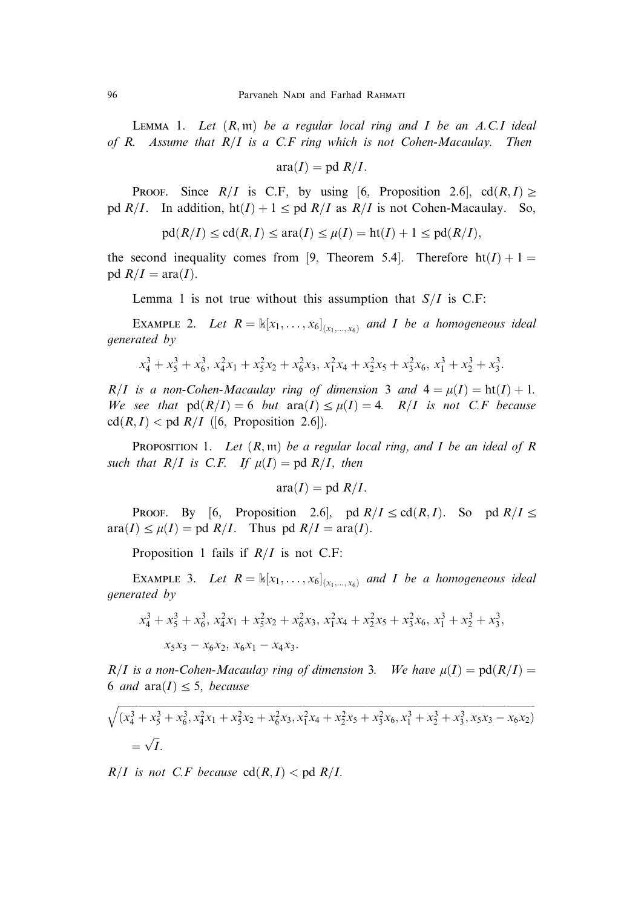LEMMA 1. Let  $(R, \mathfrak{m})$  be a regular local ring and I be an A.C.I ideal of R. Assume that  $R/I$  is a C.F ring which is not Cohen-Macaulay. Then

$$
ara(I) = pd R/I.
$$

PROOF. Since  $R/I$  is C.F, by using [6, Proposition 2.6], cd $(R, I) \ge$ pd  $R/I$ . In addition,  $ht(I) + 1 \leq pd R/I$  as  $R/I$  is not Cohen-Macaulay. So,

$$
\mathrm{pd}(R/I)\leq\mathrm{cd}(R,I)\leq\mathrm{ara}(I)\leq\mu(I)=\mathrm{ht}(I)+1\leq\mathrm{pd}(R/I),
$$

the second inequality comes from [9, Theorem 5.4]. Therefore  $ht(I) + 1 =$ pd  $R/I = \text{ara}(I)$ .

Lemma 1 is not true without this assumption that  $S/I$  is C.F:

EXAMPLE 2. Let  $R = \mathbb{K}[x_1, \ldots, x_6]_{(x_1, \ldots, x_6)}$  and I be a homogeneous ideal generated by

$$
x_4^3 + x_5^3 + x_6^3, x_4^2x_1 + x_5^2x_2 + x_6^2x_3, x_1^2x_4 + x_2^2x_5 + x_3^2x_6, x_1^3 + x_2^3 + x_3^3.
$$

 $R/I$  is a non-Cohen-Macaulay ring of dimension 3 and  $4 = \mu(I) = \text{ht}(I) + 1$ . We see that  $pd(R/I) = 6$  but  $ara(I) \leq \mu(I) = 4$ . R/I is not C.F because  $cd(R, I) < pd \t R/I$  ([6, Proposition 2.6]).

**PROPOSITION 1.** Let  $(R, m)$  be a regular local ring, and I be an ideal of R such that  $R/I$  is C.F. If  $\mu(I) = \text{pd } R/I$ , then

$$
ara(I) = pd R/I.
$$

PROOF. By [6, Proposition 2.6], pd  $R/I \leq c d(R,I)$ . So pd  $R/I \leq$  $\text{area}(I) \leq \mu(I) = \text{pd } R/I$ . Thus  $\text{pd } R/I = \text{ara}(I)$ .

Proposition 1 fails if  $R/I$  is not C.F:

EXAMPLE 3. Let  $R = \mathbb{K}[x_1, \ldots, x_6]_{(x_1, \ldots, x_6)}$  and I be a homogeneous ideal generated by

$$
x_4^3 + x_5^3 + x_6^3, x_4^2x_1 + x_5^2x_2 + x_6^2x_3, x_1^2x_4 + x_2^2x_5 + x_3^2x_6, x_1^3 + x_2^3 + x_3^3,
$$
  

$$
x_5x_3 - x_6x_2, x_6x_1 - x_4x_3.
$$

 $R/I$  is a non-Cohen-Macaulay ring of dimension 3. We have  $\mu(I) = \text{pd}(R/I) =$ 6 and  $\text{ara}(I) < 5$ , because

$$
\sqrt{(x_4^3 + x_5^3 + x_6^3, x_4^2x_1 + x_5^2x_2 + x_6^2x_3, x_1^2x_4 + x_2^2x_5 + x_3^2x_6, x_1^3 + x_2^3 + x_3^3, x_5x_3 - x_6x_2)}
$$
  
=  $\sqrt{I}$ .

 $R/I$  is not C.F because  $cd(R, I) < pdp d R/I$ .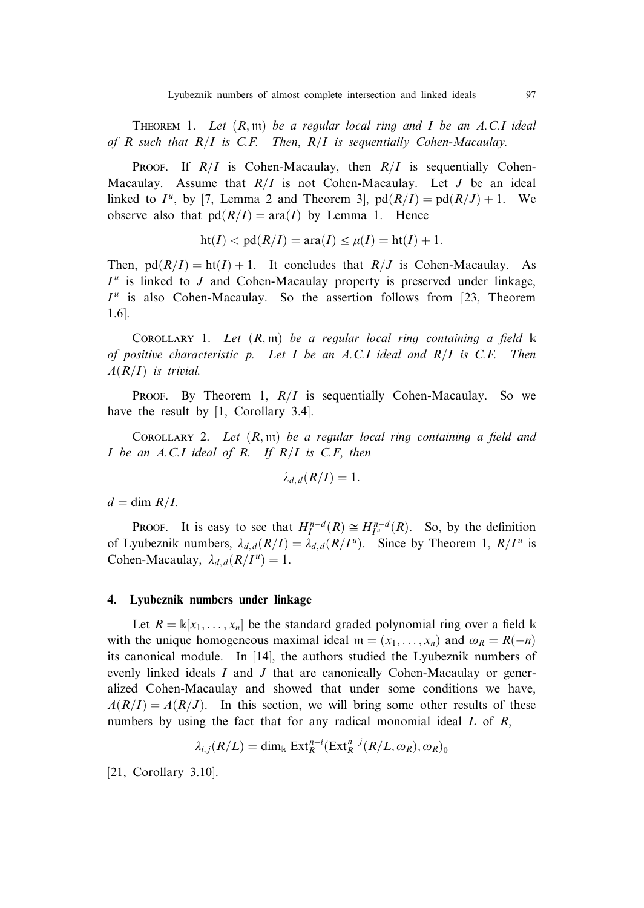THEOREM 1. Let  $(R, \mathfrak{m})$  be a regular local ring and I be an A.C.I ideal of R such that  $R/I$  is C.F. Then,  $R/I$  is sequentially Cohen-Macaulay.

**PROOF.** If  $R/I$  is Cohen-Macaulay, then  $R/I$  is sequentially Cohen-Macaulay. Assume that  $R/I$  is not Cohen-Macaulay. Let J be an ideal linked to  $I^u$ , by [7, Lemma 2 and Theorem 3],  $pd(R/I) = pd(R/J) + 1$ . We observe also that  $pd(R/I) = ara(I)$  by Lemma 1. Hence

$$
ht(I) < pd(R/I) = ara(I) \le \mu(I) = ht(I) + 1.
$$

Then,  $pd(R/I) = ht(I) + 1$ . It concludes that  $R/J$  is Cohen-Macaulay. As  $I^u$  is linked to J and Cohen-Macaulay property is preserved under linkage,  $I^u$  is also Cohen-Macaulay. So the assertion follows from [23, Theorem 1.6].

COROLLARY 1. Let  $(R, \mathfrak{m})$  be a regular local ring containing a field  $\Bbbk$ of positive characteristic p. Let I be an A.C.I ideal and  $R/I$  is C.F. Then  $\Lambda(R/I)$  is trivial.

PROOF. By Theorem 1,  $R/I$  is sequentially Cohen-Macaulay. So we have the result by [1, Corollary 3.4].

COROLLARY 2. Let  $(R, m)$  be a regular local ring containing a field and I be an A.C.I ideal of R. If  $R/I$  is C.F, then

$$
\lambda_{d,d}(R/I)=1.
$$

 $d = \dim R/I$ .

**PROOF.** It is easy to see that  $H_I^{n-d}(R) \cong H_{I^u}^{n-d}(R)$ . So, by the definition of Lyubeznik numbers,  $\lambda_{d,d}(R/I) = \lambda_{d,d}(R/I^u)$ . Since by Theorem 1,  $R/I^u$  is Cohen-Macaulay,  $\lambda_{d,d}(R/I^u) = 1$ .

### 4. Lyubeznik numbers under linkage

Let  $R = \mathbb{k}[x_1, \dots, x_n]$  be the standard graded polynomial ring over a field k with the unique homogeneous maximal ideal  $m = (x_1, \ldots, x_n)$  and  $\omega_R = R(-n)$ its canonical module. In [14], the authors studied the Lyubeznik numbers of evenly linked ideals  $I$  and  $J$  that are canonically Cohen-Macaulay or generalized Cohen-Macaulay and showed that under some conditions we have,  $\Lambda(R/I) = \Lambda(R/J)$ . In this section, we will bring some other results of these numbers by using the fact that for any radical monomial ideal  $L$  of  $R$ ,

$$
\lambda_{i,j}(R/L) = \dim_{\mathbb{k}} \operatorname{Ext}_{R}^{n-i}(\operatorname{Ext}_{R}^{n-j}(R/L, \omega_{R}), \omega_{R})_{0}
$$

[21, Corollary 3.10].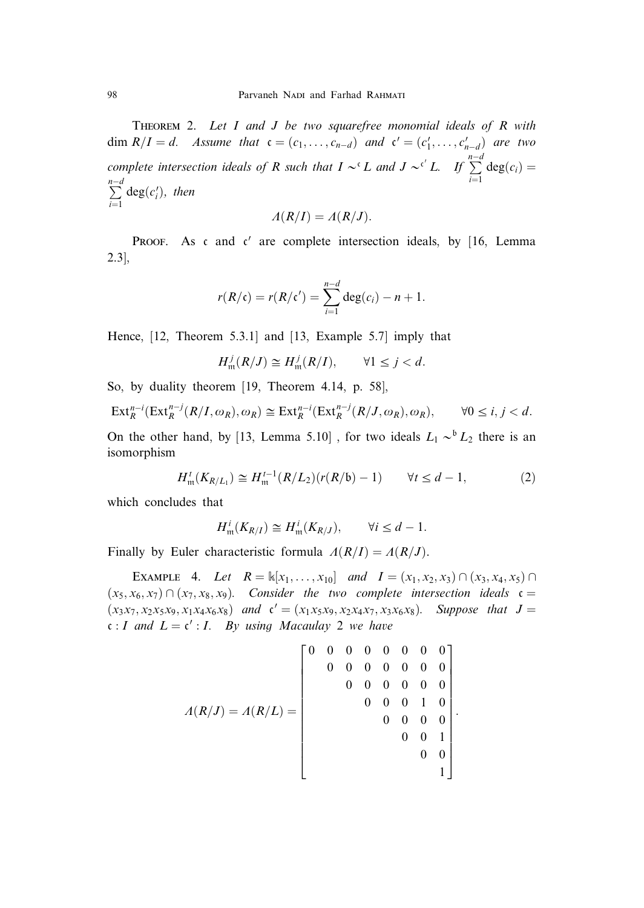THEOREM 2. Let  $I$  and  $J$  be two squarefree monomial ideals of  $R$  with dim  $R/I = d$ . Assume that  $c = (c_1, \ldots, c_{n-d})$  and  $c' = (c'_1, \ldots, c'_{n-d})$  are two complete intersection ideals of R such that  $I \sim^c L$  and  $J \sim^{c'} L$ . If  $\sum^{n-d}$  $\sum_{i=1}$  deg $(c_i)$  =  $\frac{n-d}{2}$  $i=1$  $deg(c_i'),$  then

$$
\Lambda(R/I) = \Lambda(R/J).
$$

PROOF. As c and c' are complete intersection ideals, by  $[16, Lemma]$ 2.3],

$$
r(R/\mathfrak{c})=r(R/\mathfrak{c}')=\sum_{i=1}^{n-d}\deg(c_i)-n+1.
$$

Hence, [12, Theorem 5.3.1] and [13, Example 5.7] imply that

$$
H_{\mathfrak{m}}^{j}(R/J)\cong H_{\mathfrak{m}}^{j}(R/I),\qquad \forall 1\leq j
$$

So, by duality theorem [19, Theorem 4.14, p. 58],

$$
\operatorname{Ext}^{n-i}_R(\operatorname{Ext}^{n-j}_R(R/I,\omega_R),\omega_R)\cong \operatorname{Ext}^{n-i}_R(\operatorname{Ext}^{n-j}_R(R/J,\omega_R),\omega_R),\qquad \forall 0\leq i,j
$$

On the other hand, by [13, Lemma 5.10], for two ideals  $L_1 \sim^b L_2$  there is an isomorphism

$$
H_{\mathfrak{m}}^{t}(K_{R/L_1}) \cong H_{\mathfrak{m}}^{t-1}(R/L_2)(r(R/6) - 1) \qquad \forall t \le d - 1, \tag{2}
$$

which concludes that

$$
H_{\mathfrak{m}}^i(K_{R/I}) \cong H_{\mathfrak{m}}^i(K_{R/J}), \qquad \forall i \leq d-1.
$$

Finally by Euler characteristic formula  $A(R/I) = A(R/J)$ .

EXAMPLE 4. Let  $R = \mathbb{K}[x_1, \ldots, x_{10}]$  and  $I = (x_1, x_2, x_3) \cap (x_3, x_4, x_5) \cap (x_5, x_6)$  $(x_5, x_6, x_7) \cap (x_7, x_8, x_9)$ . Consider the two complete intersection ideals  $\mathfrak{c} =$  $(x_3x_7, x_2x_5x_9, x_1x_4x_6x_8)$  and  $c' = (x_1x_5x_9, x_2x_4x_7, x_3x_6x_8)$ . Suppose that  $J =$  $c : I$  and  $L = c' : I$ . By using Macaulay 2 we have

$$
A(R/J) = A(R/L) = \begin{bmatrix} 0 & 0 & 0 & 0 & 0 & 0 & 0 & 0 \\ 0 & 0 & 0 & 0 & 0 & 0 & 0 & 0 \\ 0 & 0 & 0 & 0 & 0 & 0 & 0 & 0 \\ 0 & 0 & 0 & 0 & 1 & 0 & 0 & 0 \\ 0 & 0 & 0 & 0 & 1 & 0 & 0 & 0 \\ 0 & 0 & 0 & 1 & 0 & 0 & 1 \\ 0 & 0 & 0 & 1 & 0 & 0 & 0 \\ 0 & 0 & 0 & 0 & 1 & 0 & 0 \\ 0 & 0 & 0 & 0 & 0 & 0 & 0 \\ 0 & 0 & 0 & 0 & 0 & 0 & 0 \\ 0 & 0 & 0 & 0 & 0 & 0 & 0 \\ 0 & 0 & 0 & 0 & 0 & 0 & 0 \\ 0 & 0 & 0 & 0 & 0 & 0 & 0 \\ 0 & 0 & 0 & 0 & 0 & 0 & 0 \\ 0 & 0 & 0 & 0 & 0 & 0 & 0 \\ 0 & 0 & 0 & 0 & 0 & 0 & 0 \\ 0 & 0 & 0 & 0 & 0 & 0 & 0 \\ 0 & 0 & 0 & 0 & 0 & 0 & 0 \\ 0 & 0 & 0 & 0 & 0 & 0 & 0 \\ 0 & 0 & 0 & 0 & 0 & 0 & 0 \\ 0 & 0 & 0 & 0 & 0 & 0 & 0 \\ 0 & 0 & 0 & 0 & 0 & 0 & 0 \\ 0 & 0 & 0 & 0 & 0 & 0 & 0 \\ 0 & 0 & 0 & 0 & 0 & 0 & 0 \\ 0 & 0 & 0 & 0 & 0 & 0 & 0 \\ 0 & 0 & 0 & 0 & 0 & 0 & 0 \\ 0 & 0 & 0 & 0 & 0 & 0 & 0 \\ 0 & 0 & 0 & 0 & 0 & 0 & 0 \\ 0 & 0 & 0 & 0 & 0 & 0 & 0 \\ 0 & 0 & 0 & 0 & 0 & 0 & 0 \\ 0 & 0 & 0 & 0 & 0 & 0 & 0 \\ 0 & 0 & 0 & 0 & 0 & 0 & 0 \\ 0 & 0 & 0 & 0 & 0 & 0 & 0 \\ 0 & 0 & 0 & 0 & 0 & 0 & 0 \\ 0 & 0 & 0 & 0 & 0
$$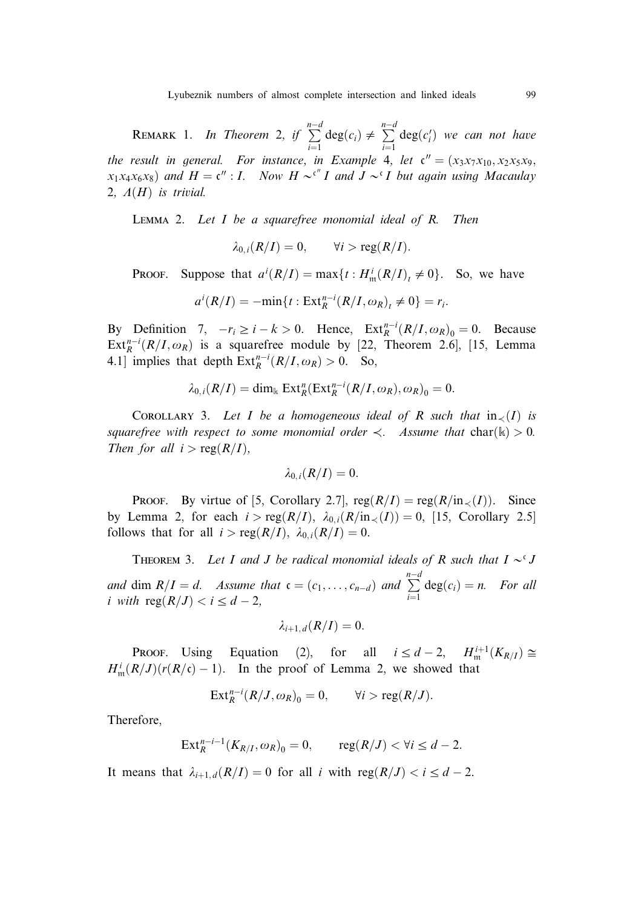Lyubeznik numbers of almost complete intersection and linked ideals 99

REMARK 1. In Theorem 2, if  $\sum_{n=0}^{n-d}$  $\sum_{i=1}^{n-d} \deg(c_i) \neq \sum_{i=1}^{n-d}$  $i=1$  $deg(c'_i)$  we can not have the result in general. For instance, in Example 4, let  $\mathfrak{c}'' = (x_3x_7x_{10}, x_2x_5x_9,$  $x_1x_4x_6x_8$  and  $H = \mathfrak{c}''$ : I. Now  $H \sim^{c''} I$  and  $J \sim^{c} I$  but again using Macaulay 2,  $A(H)$  is trivial.

LEMMA 2. Let  $I$  be a squarefree monomial ideal of  $R$ . Then

 $\lambda_{0,i}(R/I)=0, \qquad \forall i > \text{reg}(R/I).$ 

**PROOF.** Suppose that  $a^i(R/I) = \max\{t : H^i_m(R/I)_t \neq 0\}$ . So, we have

$$
a^{i}(R/I)=-\min\{t:\operatorname{Ext}_{R}^{n-i}(R/I,\omega_{R})_{t}\neq 0\}=r_{i}.
$$

By Definition 7,  $-r_i \ge i - k > 0$ . Hence,  $\text{Ext}_{R}^{n-i}(R/I, \omega_R)_{\theta} = 0$ . Because  $Ext_R^{n-i}(R/I, \omega_R)$  is a squarefree module by [22, Theorem 2.6], [15, Lemma 4.1] implies that depth  $\text{Ext}_{R}^{n-i}(R/I, \omega_R) > 0$ . So,

$$
\lambda_{0,i}(R/I) = \dim_{\mathbb{k}} \operatorname{Ext}^n_R(\operatorname{Ext}^{n-i}_R(R/I, \omega_R), \omega_R)_0 = 0.
$$

COROLLARY 3. Let I be a homogeneous ideal of R such that  $in_{\leq}(I)$  is squarefree with respect to some monomial order  $\lt$ . Assume that char $(\mathbf{k}) > 0$ . Then for all  $i > \text{reg}(R/I)$ ,

$$
\lambda_{0,i}(R/I)=0.
$$

**PROOF.** By virtue of [5, Corollary 2.7],  $reg(R/I) = reg(R/in\lt(I))$ . Since by Lemma 2, for each  $i > \text{reg}(R/I)$ ,  $\lambda_{0,i}(R/\text{in}\ll(I)) = 0$ , [15, Corollary 2.5] follows that for all  $i > \text{reg}(R/I)$ ,  $\lambda_{0,i}(R/I) = 0$ .

THEOREM 3. Let I and J be radical monomial ideals of R such that  $I \sim^c J$ and dim  $R/I = d$ . Assume that  $\mathfrak{c} = (c_1, \ldots, c_{n-d})$  and  $\sum_{n=0}^{n-d}$  $\sum_{i=1}$  deg $(c_i) = n$ . For all i with  $\text{reg}(R/J) < i \leq d-2$ ,

$$
\lambda_{i+1,d}(R/I)=0.
$$

**PROOF.** Using Equation (2), for all  $i \leq d-2$ ,  $H_{\text{m}}^{i+1}(K_{R/I}) \cong$  $H_{\mathfrak{m}}^{i}(R/J)(r(R/\mathfrak{c})-1)$ . In the proof of Lemma 2, we showed that

$$
\operatorname{Ext}_{R}^{n-i}(R/J,\omega_{R})_{0}=0, \qquad \forall i>\operatorname{reg}(R/J).
$$

Therefore,

$$
\operatorname{Ext}_{R}^{n-i-1}(K_{R/I},\omega_{R})_{0}=0, \qquad \operatorname{reg}(R/J)<\forall i\leq d-2.
$$

It means that  $\lambda_{i+1,d}(R/I)=0$  for all i with reg $(R/J) < i \leq d-2$ .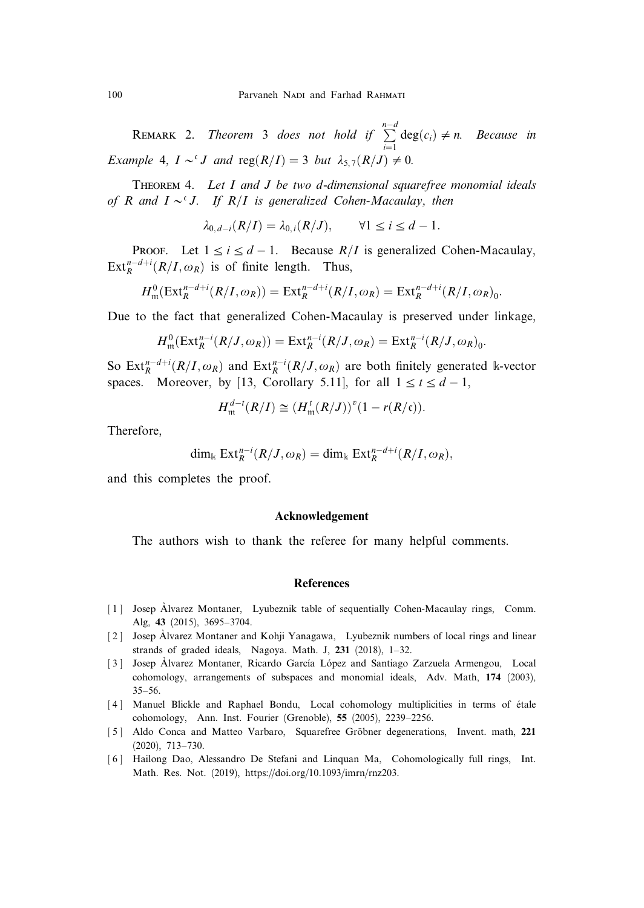**REMARK** 2. Theorem 3 does not hold if  $\sum_{n=0}^{n-d}$  $\sum_{i=1}^{n} \deg(c_i) \neq n$ . Because in Example 4,  $I \sim^{c} J$  and  $reg(R/I) = 3$  but  $\lambda_{5,7}(R/J) \neq 0$ .

THEOREM 4. Let I and J be two d-dimensional squarefree monomial ideals of R and  $I \sim^{c} J$ . If R/I is generalized Cohen-Macaulay, then

$$
\lambda_{0,d-i}(R/I) = \lambda_{0,i}(R/J), \qquad \forall 1 \le i \le d-1.
$$

PROOF. Let  $1 \le i \le d-1$ . Because  $R/I$  is generalized Cohen-Macaulay,  $\text{Ext}_{R}^{n-d+i}(R/I,\omega_{R})$  is of finite length. Thus,

$$
H_{\mathfrak{m}}^{0}(\operatorname{Ext}_{R}^{n-d+i}(R/I,\omega_{R}))=\operatorname{Ext}_{R}^{n-d+i}(R/I,\omega_{R})=\operatorname{Ext}_{R}^{n-d+i}(R/I,\omega_{R})_{0}.
$$

Due to the fact that generalized Cohen-Macaulay is preserved under linkage,

$$
H_{\mathfrak{m}}^{0}(\operatorname{Ext}_{R}^{n-i}(R/J, \omega_{R})) = \operatorname{Ext}_{R}^{n-i}(R/J, \omega_{R}) = \operatorname{Ext}_{R}^{n-i}(R/J, \omega_{R})_{0}.
$$

So  $\text{Ext}_{R}^{n-d+i}(R/I, \omega_{R})$  and  $\text{Ext}_{R}^{n-i}(R/J, \omega_{R})$  are both finitely generated k-vector spaces. Moreover, by [13, Corollary 5.11], for all  $1 \le t \le d - 1$ ,

$$
H_{\mathfrak{m}}^{d-t}(R/I) \cong (H_{\mathfrak{m}}^{t}(R/J))^{v}(1-r(R/\mathfrak{c})).
$$

Therefore,

$$
\dim_{\mathbb{k}} \operatorname{Ext}^{n-i}_R(R/J, \omega_R) = \dim_{\mathbb{k}} \operatorname{Ext}^{n-d+i}_R(R/I, \omega_R),
$$

and this completes the proof.

## Acknowledgement

The authors wish to thank the referee for many helpful comments.

#### **References**

- [1] Josep Alvarez Montaner, Lyubeznik table of sequentially Cohen-Macaulay rings, Comm. Alg, 43 (2015), 3695–3704.
- [2] Josep Alvarez Montaner and Kohji Yanagawa, Lyubeznik numbers of local rings and linear strands of graded ideals, Nagoya. Math. J,  $231$  (2018),  $1-32$ .
- [3] Josep Alvarez Montaner, Ricardo García López and Santiago Zarzuela Armengou, Local cohomology, arrangements of subspaces and monomial ideals, Adv. Math, 174 (2003), 35–56.
- [4] Manuel Blickle and Raphael Bondu, Local cohomology multiplicities in terms of étale cohomology, Ann. Inst. Fourier (Grenoble), 55 (2005), 2239–2256.
- [5] Aldo Conca and Matteo Varbaro, Squarefree Gröbner degenerations, Invent. math, 221 (2020), 713–730.
- [6] Hailong Dao, Alessandro De Stefani and Linquan Ma, Cohomologically full rings, Int. Math. Res. Not. (2019), https://doi.org/10.1093/imrn/rnz203.